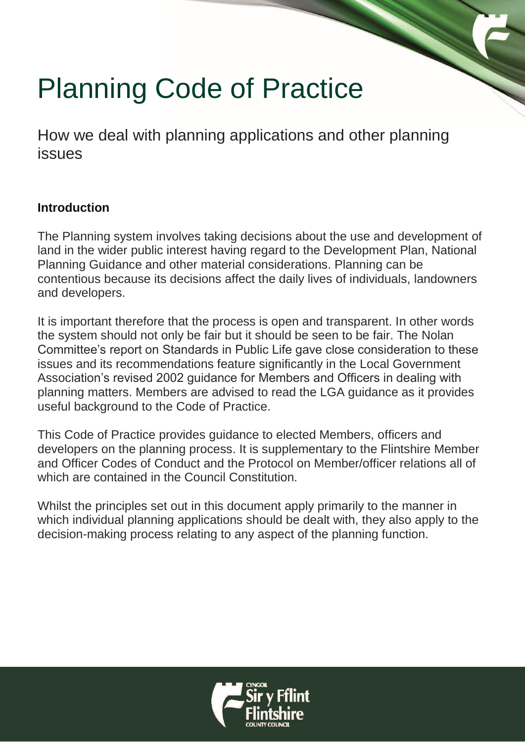# Planning Code of Practice

How we deal with planning applications and other planning issues

#### **Introduction**

The Planning system involves taking decisions about the use and development of land in the wider public interest having regard to the Development Plan, National Planning Guidance and other material considerations. Planning can be contentious because its decisions affect the daily lives of individuals, landowners and developers.

It is important therefore that the process is open and transparent. In other words the system should not only be fair but it should be seen to be fair. The Nolan Committee's report on Standards in Public Life gave close consideration to these issues and its recommendations feature significantly in the Local Government Association's revised 2002 guidance for Members and Officers in dealing with planning matters. Members are advised to read the LGA guidance as it provides useful background to the Code of Practice.

This Code of Practice provides guidance to elected Members, officers and developers on the planning process. It is supplementary to the Flintshire Member and Officer Codes of Conduct and the Protocol on Member/officer relations all of which are contained in the Council Constitution.

Whilst the principles set out in this document apply primarily to the manner in which individual planning applications should be dealt with, they also apply to the decision-making process relating to any aspect of the planning function.

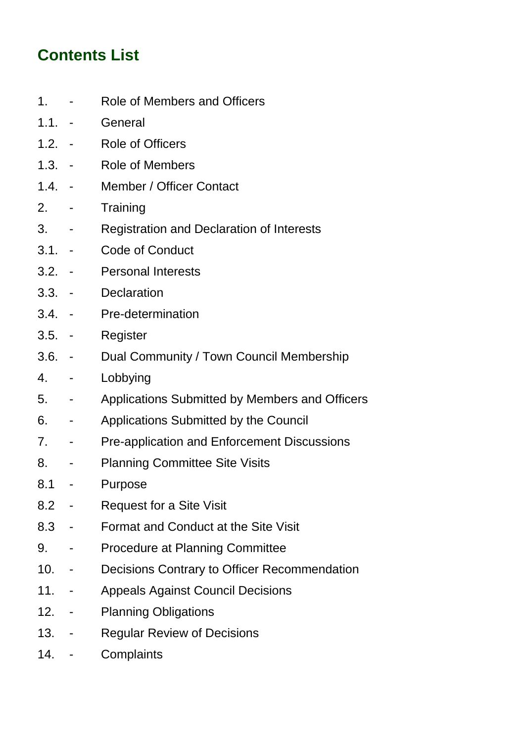# **Contents List**

- 1. Role of Members and Officers
- 1.1. General
- 1.2. Role of Officers
- 1.3. Role of Members
- 1.4. Member / Officer Contact
- 2. Training
- 3. Registration and Declaration of Interests
- 3.1. Code of Conduct
- 3.2. Personal Interests
- 3.3. Declaration
- 3.4. Pre-determination
- 3.5. Register
- 3.6. Dual Community / Town Council Membership
- 4. Lobbying
- 5. Applications Submitted by Members and Officers
- 6. Applications Submitted by the Council
- 7. Pre-application and Enforcement Discussions
- 8. Planning Committee Site Visits
- 8.1 Purpose
- 8.2 Request for a Site Visit
- 8.3 Format and Conduct at the Site Visit
- 9. Procedure at Planning Committee
- 10. Decisions Contrary to Officer Recommendation
- 11. Appeals Against Council Decisions
- 12. Planning Obligations
- 13. Regular Review of Decisions
- 14. Complaints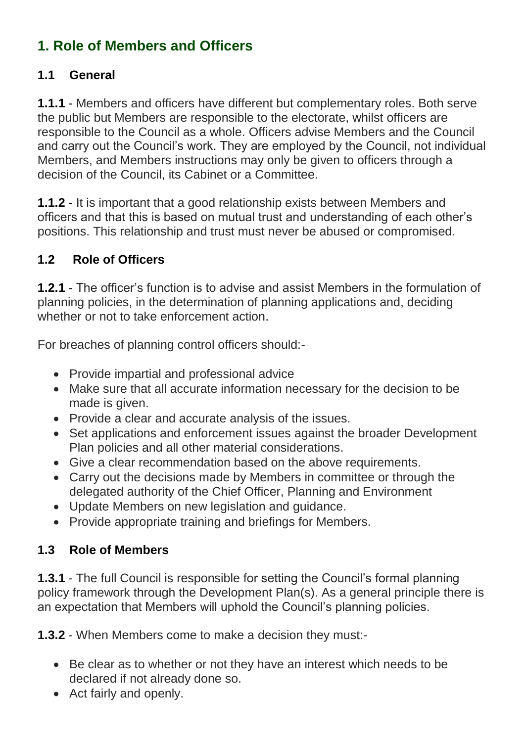# **1. Role of Members and Officers**

#### **1.1 General**

**1.1.1** - Members and officers have different but complementary roles. Both serve the public but Members are responsible to the electorate, whilst officers are responsible to the Council as a whole. Officers advise Members and the Council and carry out the Council's work. They are employed by the Council, not individual Members, and Members instructions may only be given to officers through a decision of the Council, its Cabinet or a Committee.

**1.1.2** - It is important that a good relationship exists between Members and officers and that this is based on mutual trust and understanding of each other's positions. This relationship and trust must never be abused or compromised.

### **1.2 Role of Officers**

**1.2.1** - The officer's function is to advise and assist Members in the formulation of planning policies, in the determination of planning applications and, deciding whether or not to take enforcement action

For breaches of planning control officers should:-

- Provide impartial and professional advice
- Make sure that all accurate information necessary for the decision to be made is given.
- Provide a clear and accurate analysis of the issues.
- Set applications and enforcement issues against the broader Development Plan policies and all other material considerations.
- Give a clear recommendation based on the above requirements.
- Carry out the decisions made by Members in committee or through the delegated authority of the Chief Officer, Planning and Environment
- Update Members on new legislation and guidance.
- Provide appropriate training and briefings for Members.

#### **1.3 Role of Members**

**1.3.1** - The full Council is responsible for setting the Council's formal planning policy framework through the Development Plan(s). As a general principle there is an expectation that Members will uphold the Council's planning policies.

**1.3.2** - When Members come to make a decision they must:-

- Be clear as to whether or not they have an interest which needs to be declared if not already done so.
- Act fairly and openly.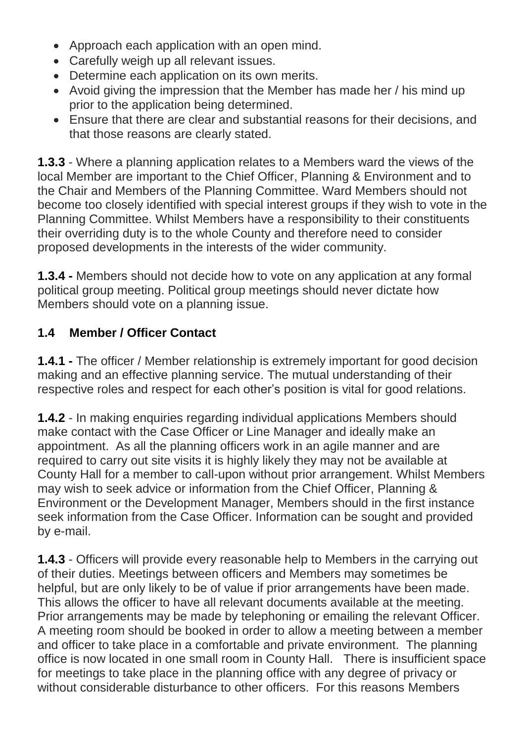- Approach each application with an open mind.
- Carefully weigh up all relevant issues.
- Determine each application on its own merits.
- Avoid giving the impression that the Member has made her / his mind up prior to the application being determined.
- Ensure that there are clear and substantial reasons for their decisions, and that those reasons are clearly stated.

**1.3.3** - Where a planning application relates to a Members ward the views of the local Member are important to the Chief Officer, Planning & Environment and to the Chair and Members of the Planning Committee. Ward Members should not become too closely identified with special interest groups if they wish to vote in the Planning Committee. Whilst Members have a responsibility to their constituents their overriding duty is to the whole County and therefore need to consider proposed developments in the interests of the wider community.

**1.3.4 -** Members should not decide how to vote on any application at any formal political group meeting. Political group meetings should never dictate how Members should vote on a planning issue.

## **1.4 Member / Officer Contact**

**1.4.1 -** The officer / Member relationship is extremely important for good decision making and an effective planning service. The mutual understanding of their respective roles and respect for each other's position is vital for good relations.

**1.4.2** - In making enquiries regarding individual applications Members should make contact with the Case Officer or Line Manager and ideally make an appointment. As all the planning officers work in an agile manner and are required to carry out site visits it is highly likely they may not be available at County Hall for a member to call-upon without prior arrangement. Whilst Members may wish to seek advice or information from the Chief Officer, Planning & Environment or the Development Manager, Members should in the first instance seek information from the Case Officer. Information can be sought and provided by e-mail.

**1.4.3** - Officers will provide every reasonable help to Members in the carrying out of their duties. Meetings between officers and Members may sometimes be helpful, but are only likely to be of value if prior arrangements have been made. This allows the officer to have all relevant documents available at the meeting. Prior arrangements may be made by telephoning or emailing the relevant Officer. A meeting room should be booked in order to allow a meeting between a member and officer to take place in a comfortable and private environment. The planning office is now located in one small room in County Hall. There is insufficient space for meetings to take place in the planning office with any degree of privacy or without considerable disturbance to other officers. For this reasons Members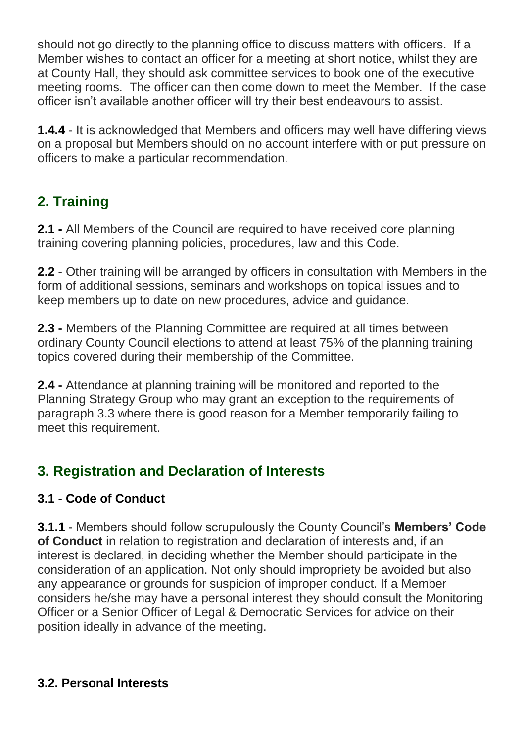should not go directly to the planning office to discuss matters with officers. If a Member wishes to contact an officer for a meeting at short notice, whilst they are at County Hall, they should ask committee services to book one of the executive meeting rooms. The officer can then come down to meet the Member. If the case officer isn't available another officer will try their best endeavours to assist.

**1.4.4** - It is acknowledged that Members and officers may well have differing views on a proposal but Members should on no account interfere with or put pressure on officers to make a particular recommendation.

# **2. Training**

**2.1 -** All Members of the Council are required to have received core planning training covering planning policies, procedures, law and this Code.

**2.2 -** Other training will be arranged by officers in consultation with Members in the form of additional sessions, seminars and workshops on topical issues and to keep members up to date on new procedures, advice and guidance.

**2.3 -** Members of the Planning Committee are required at all times between ordinary County Council elections to attend at least 75% of the planning training topics covered during their membership of the Committee.

**2.4 -** Attendance at planning training will be monitored and reported to the Planning Strategy Group who may grant an exception to the requirements of paragraph 3.3 where there is good reason for a Member temporarily failing to meet this requirement.

# **3. Registration and Declaration of Interests**

### **3.1 - Code of Conduct**

**3.1.1** - Members should follow scrupulously the County Council's **Members' Code of Conduct** in relation to registration and declaration of interests and, if an interest is declared, in deciding whether the Member should participate in the consideration of an application. Not only should impropriety be avoided but also any appearance or grounds for suspicion of improper conduct. If a Member considers he/she may have a personal interest they should consult the Monitoring Officer or a Senior Officer of Legal & Democratic Services for advice on their position ideally in advance of the meeting.

#### **3.2. Personal Interests**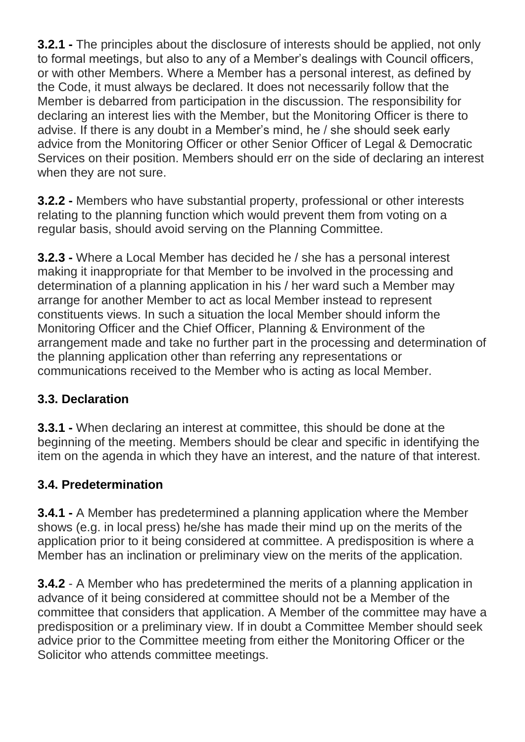**3.2.1 -** The principles about the disclosure of interests should be applied, not only to formal meetings, but also to any of a Member's dealings with Council officers, or with other Members. Where a Member has a personal interest, as defined by the Code, it must always be declared. It does not necessarily follow that the Member is debarred from participation in the discussion. The responsibility for declaring an interest lies with the Member, but the Monitoring Officer is there to advise. If there is any doubt in a Member's mind, he / she should seek early advice from the Monitoring Officer or other Senior Officer of Legal & Democratic Services on their position. Members should err on the side of declaring an interest when they are not sure.

**3.2.2 -** Members who have substantial property, professional or other interests relating to the planning function which would prevent them from voting on a regular basis, should avoid serving on the Planning Committee.

**3.2.3 -** Where a Local Member has decided he / she has a personal interest making it inappropriate for that Member to be involved in the processing and determination of a planning application in his / her ward such a Member may arrange for another Member to act as local Member instead to represent constituents views. In such a situation the local Member should inform the Monitoring Officer and the Chief Officer, Planning & Environment of the arrangement made and take no further part in the processing and determination of the planning application other than referring any representations or communications received to the Member who is acting as local Member.

### **3.3. Declaration**

**3.3.1 -** When declaring an interest at committee, this should be done at the beginning of the meeting. Members should be clear and specific in identifying the item on the agenda in which they have an interest, and the nature of that interest.

### **3.4. Predetermination**

**3.4.1 -** A Member has predetermined a planning application where the Member shows (e.g. in local press) he/she has made their mind up on the merits of the application prior to it being considered at committee. A predisposition is where a Member has an inclination or preliminary view on the merits of the application.

**3.4.2** - A Member who has predetermined the merits of a planning application in advance of it being considered at committee should not be a Member of the committee that considers that application. A Member of the committee may have a predisposition or a preliminary view. If in doubt a Committee Member should seek advice prior to the Committee meeting from either the Monitoring Officer or the Solicitor who attends committee meetings.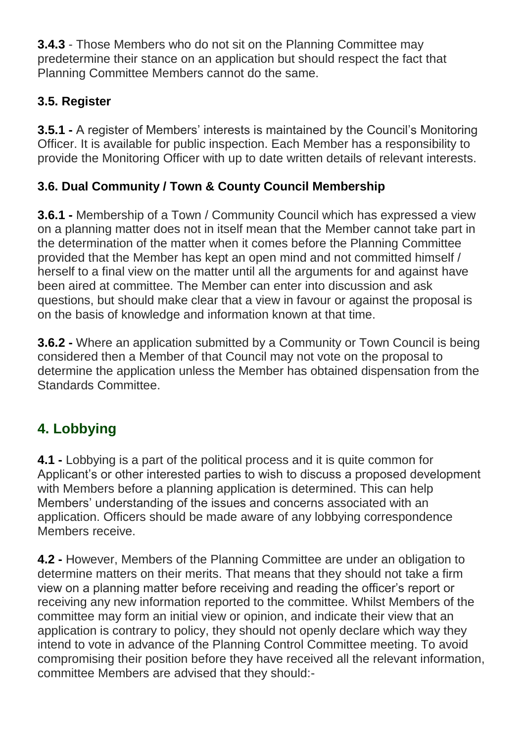**3.4.3** - Those Members who do not sit on the Planning Committee may predetermine their stance on an application but should respect the fact that Planning Committee Members cannot do the same.

## **3.5. Register**

**3.5.1 -** A register of Members' interests is maintained by the Council's Monitoring Officer. It is available for public inspection. Each Member has a responsibility to provide the Monitoring Officer with up to date written details of relevant interests.

## **3.6. Dual Community / Town & County Council Membership**

**3.6.1 -** Membership of a Town / Community Council which has expressed a view on a planning matter does not in itself mean that the Member cannot take part in the determination of the matter when it comes before the Planning Committee provided that the Member has kept an open mind and not committed himself / herself to a final view on the matter until all the arguments for and against have been aired at committee. The Member can enter into discussion and ask questions, but should make clear that a view in favour or against the proposal is on the basis of knowledge and information known at that time.

**3.6.2 -** Where an application submitted by a Community or Town Council is being considered then a Member of that Council may not vote on the proposal to determine the application unless the Member has obtained dispensation from the Standards Committee.

# **4. Lobbying**

**4.1 -** Lobbying is a part of the political process and it is quite common for Applicant's or other interested parties to wish to discuss a proposed development with Members before a planning application is determined. This can help Members' understanding of the issues and concerns associated with an application. Officers should be made aware of any lobbying correspondence Members receive.

**4.2 -** However, Members of the Planning Committee are under an obligation to determine matters on their merits. That means that they should not take a firm view on a planning matter before receiving and reading the officer's report or receiving any new information reported to the committee. Whilst Members of the committee may form an initial view or opinion, and indicate their view that an application is contrary to policy, they should not openly declare which way they intend to vote in advance of the Planning Control Committee meeting. To avoid compromising their position before they have received all the relevant information, committee Members are advised that they should:-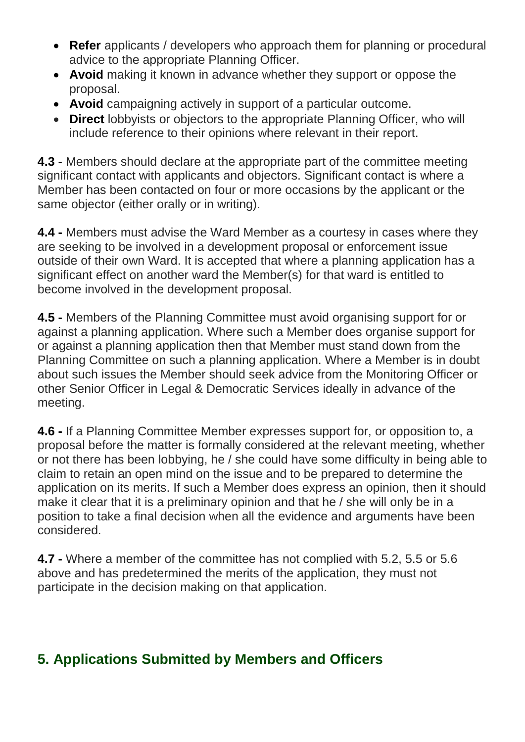- **Refer** applicants / developers who approach them for planning or procedural advice to the appropriate Planning Officer.
- **Avoid** making it known in advance whether they support or oppose the proposal.
- **Avoid** campaigning actively in support of a particular outcome.
- **Direct** lobbyists or objectors to the appropriate Planning Officer, who will include reference to their opinions where relevant in their report.

**4.3 -** Members should declare at the appropriate part of the committee meeting significant contact with applicants and objectors. Significant contact is where a Member has been contacted on four or more occasions by the applicant or the same objector (either orally or in writing).

**4.4 -** Members must advise the Ward Member as a courtesy in cases where they are seeking to be involved in a development proposal or enforcement issue outside of their own Ward. It is accepted that where a planning application has a significant effect on another ward the Member(s) for that ward is entitled to become involved in the development proposal.

**4.5 -** Members of the Planning Committee must avoid organising support for or against a planning application. Where such a Member does organise support for or against a planning application then that Member must stand down from the Planning Committee on such a planning application. Where a Member is in doubt about such issues the Member should seek advice from the Monitoring Officer or other Senior Officer in Legal & Democratic Services ideally in advance of the meeting.

**4.6 -** If a Planning Committee Member expresses support for, or opposition to, a proposal before the matter is formally considered at the relevant meeting, whether or not there has been lobbying, he / she could have some difficulty in being able to claim to retain an open mind on the issue and to be prepared to determine the application on its merits. If such a Member does express an opinion, then it should make it clear that it is a preliminary opinion and that he / she will only be in a position to take a final decision when all the evidence and arguments have been considered.

**4.7 -** Where a member of the committee has not complied with 5.2, 5.5 or 5.6 above and has predetermined the merits of the application, they must not participate in the decision making on that application.

## **5. Applications Submitted by Members and Officers**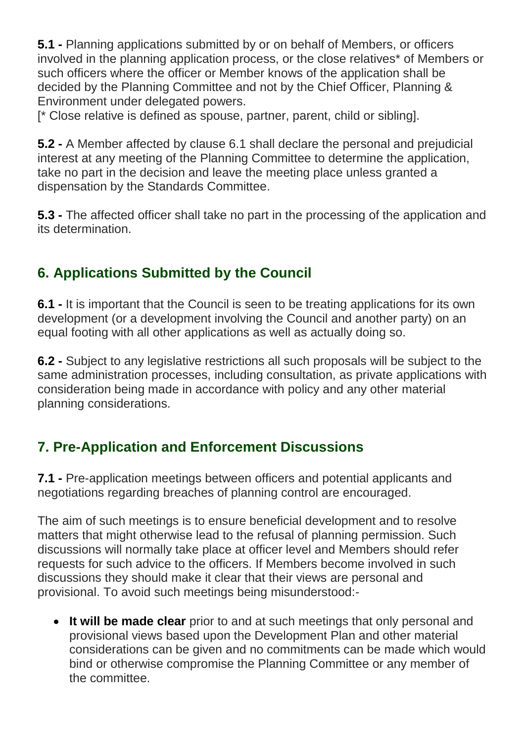**5.1 -** Planning applications submitted by or on behalf of Members, or officers involved in the planning application process, or the close relatives\* of Members or such officers where the officer or Member knows of the application shall be decided by the Planning Committee and not by the Chief Officer, Planning & Environment under delegated powers.

[\* Close relative is defined as spouse, partner, parent, child or sibling].

**5.2 -** A Member affected by clause 6.1 shall declare the personal and prejudicial interest at any meeting of the Planning Committee to determine the application, take no part in the decision and leave the meeting place unless granted a dispensation by the Standards Committee.

**5.3 -** The affected officer shall take no part in the processing of the application and its determination.

# **6. Applications Submitted by the Council**

**6.1 -** It is important that the Council is seen to be treating applications for its own development (or a development involving the Council and another party) on an equal footing with all other applications as well as actually doing so.

**6.2 -** Subject to any legislative restrictions all such proposals will be subject to the same administration processes, including consultation, as private applications with consideration being made in accordance with policy and any other material planning considerations.

# **7. Pre-Application and Enforcement Discussions**

**7.1 -** Pre-application meetings between officers and potential applicants and negotiations regarding breaches of planning control are encouraged.

The aim of such meetings is to ensure beneficial development and to resolve matters that might otherwise lead to the refusal of planning permission. Such discussions will normally take place at officer level and Members should refer requests for such advice to the officers. If Members become involved in such discussions they should make it clear that their views are personal and provisional. To avoid such meetings being misunderstood:-

 **It will be made clear** prior to and at such meetings that only personal and provisional views based upon the Development Plan and other material considerations can be given and no commitments can be made which would bind or otherwise compromise the Planning Committee or any member of the committee.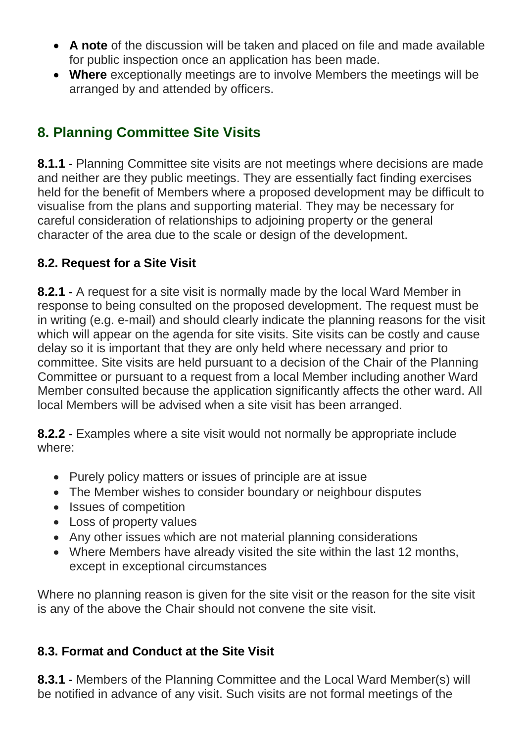- **A note** of the discussion will be taken and placed on file and made available for public inspection once an application has been made.
- **Where** exceptionally meetings are to involve Members the meetings will be arranged by and attended by officers.

# **8. Planning Committee Site Visits**

**8.1.1 -** Planning Committee site visits are not meetings where decisions are made and neither are they public meetings. They are essentially fact finding exercises held for the benefit of Members where a proposed development may be difficult to visualise from the plans and supporting material. They may be necessary for careful consideration of relationships to adjoining property or the general character of the area due to the scale or design of the development.

### **8.2. Request for a Site Visit**

**8.2.1 -** A request for a site visit is normally made by the local Ward Member in response to being consulted on the proposed development. The request must be in writing (e.g. e-mail) and should clearly indicate the planning reasons for the visit which will appear on the agenda for site visits. Site visits can be costly and cause delay so it is important that they are only held where necessary and prior to committee. Site visits are held pursuant to a decision of the Chair of the Planning Committee or pursuant to a request from a local Member including another Ward Member consulted because the application significantly affects the other ward. All local Members will be advised when a site visit has been arranged.

**8.2.2 -** Examples where a site visit would not normally be appropriate include where:

- Purely policy matters or issues of principle are at issue
- The Member wishes to consider boundary or neighbour disputes
- Issues of competition
- Loss of property values
- Any other issues which are not material planning considerations
- Where Members have already visited the site within the last 12 months, except in exceptional circumstances

Where no planning reason is given for the site visit or the reason for the site visit is any of the above the Chair should not convene the site visit.

### **8.3. Format and Conduct at the Site Visit**

**8.3.1 -** Members of the Planning Committee and the Local Ward Member(s) will be notified in advance of any visit. Such visits are not formal meetings of the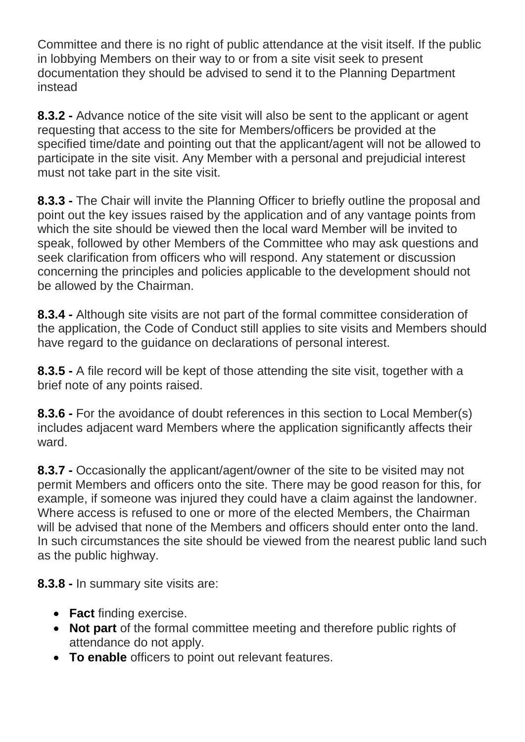Committee and there is no right of public attendance at the visit itself. If the public in lobbying Members on their way to or from a site visit seek to present documentation they should be advised to send it to the Planning Department instead

**8.3.2 -** Advance notice of the site visit will also be sent to the applicant or agent requesting that access to the site for Members/officers be provided at the specified time/date and pointing out that the applicant/agent will not be allowed to participate in the site visit. Any Member with a personal and prejudicial interest must not take part in the site visit.

**8.3.3 -** The Chair will invite the Planning Officer to briefly outline the proposal and point out the key issues raised by the application and of any vantage points from which the site should be viewed then the local ward Member will be invited to speak, followed by other Members of the Committee who may ask questions and seek clarification from officers who will respond. Any statement or discussion concerning the principles and policies applicable to the development should not be allowed by the Chairman.

**8.3.4 -** Although site visits are not part of the formal committee consideration of the application, the Code of Conduct still applies to site visits and Members should have regard to the guidance on declarations of personal interest.

**8.3.5 -** A file record will be kept of those attending the site visit, together with a brief note of any points raised.

**8.3.6 -** For the avoidance of doubt references in this section to Local Member(s) includes adjacent ward Members where the application significantly affects their ward.

**8.3.7 -** Occasionally the applicant/agent/owner of the site to be visited may not permit Members and officers onto the site. There may be good reason for this, for example, if someone was injured they could have a claim against the landowner. Where access is refused to one or more of the elected Members, the Chairman will be advised that none of the Members and officers should enter onto the land. In such circumstances the site should be viewed from the nearest public land such as the public highway.

**8.3.8 -** In summary site visits are:

- **Fact** finding exercise.
- **Not part** of the formal committee meeting and therefore public rights of attendance do not apply.
- **To enable** officers to point out relevant features.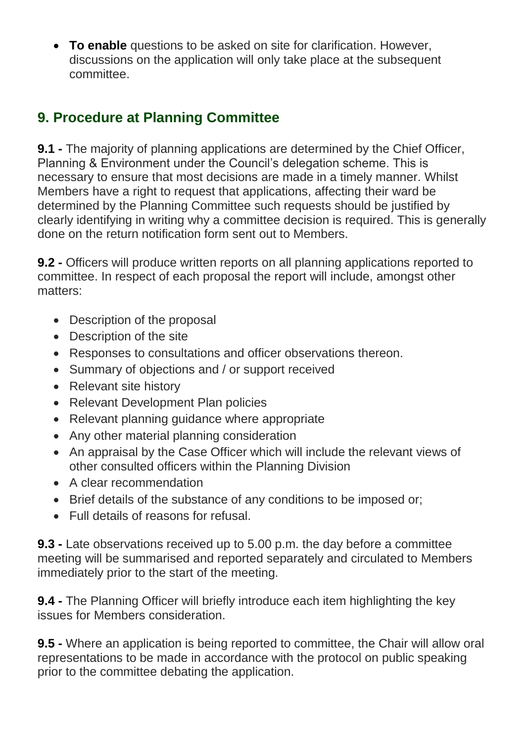**To enable** questions to be asked on site for clarification. However, discussions on the application will only take place at the subsequent committee.

# **9. Procedure at Planning Committee**

**9.1 -** The majority of planning applications are determined by the Chief Officer, Planning & Environment under the Council's delegation scheme. This is necessary to ensure that most decisions are made in a timely manner. Whilst Members have a right to request that applications, affecting their ward be determined by the Planning Committee such requests should be justified by clearly identifying in writing why a committee decision is required. This is generally done on the return notification form sent out to Members.

**9.2 -** Officers will produce written reports on all planning applications reported to committee. In respect of each proposal the report will include, amongst other matters:

- Description of the proposal
- Description of the site
- Responses to consultations and officer observations thereon.
- Summary of objections and / or support received
- Relevant site history
- Relevant Development Plan policies
- Relevant planning quidance where appropriate
- Any other material planning consideration
- An appraisal by the Case Officer which will include the relevant views of other consulted officers within the Planning Division
- A clear recommendation
- Brief details of the substance of any conditions to be imposed or;
- Full details of reasons for refusal.

**9.3 -** Late observations received up to 5.00 p.m. the day before a committee meeting will be summarised and reported separately and circulated to Members immediately prior to the start of the meeting.

**9.4 -** The Planning Officer will briefly introduce each item highlighting the key issues for Members consideration.

**9.5 -** Where an application is being reported to committee, the Chair will allow oral representations to be made in accordance with the protocol on public speaking prior to the committee debating the application.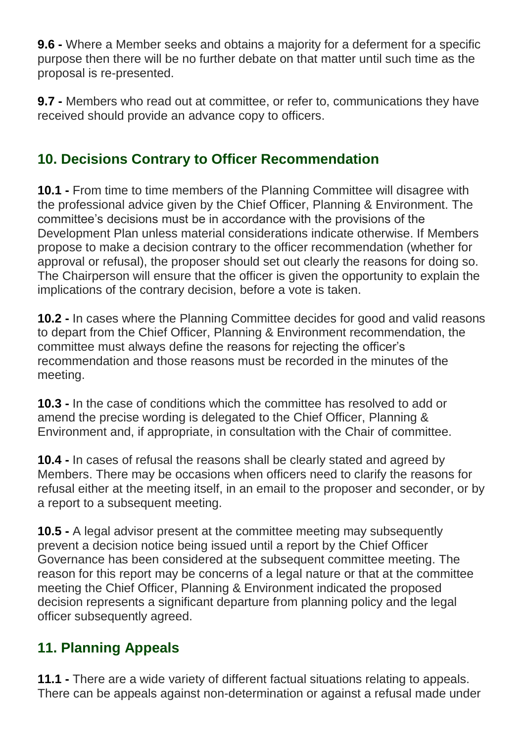**9.6 -** Where a Member seeks and obtains a majority for a deferment for a specific purpose then there will be no further debate on that matter until such time as the proposal is re-presented.

**9.7 -** Members who read out at committee, or refer to, communications they have received should provide an advance copy to officers.

# **10. Decisions Contrary to Officer Recommendation**

**10.1 -** From time to time members of the Planning Committee will disagree with the professional advice given by the Chief Officer, Planning & Environment. The committee's decisions must be in accordance with the provisions of the Development Plan unless material considerations indicate otherwise. If Members propose to make a decision contrary to the officer recommendation (whether for approval or refusal), the proposer should set out clearly the reasons for doing so. The Chairperson will ensure that the officer is given the opportunity to explain the implications of the contrary decision, before a vote is taken.

**10.2 -** In cases where the Planning Committee decides for good and valid reasons to depart from the Chief Officer, Planning & Environment recommendation, the committee must always define the reasons for rejecting the officer's recommendation and those reasons must be recorded in the minutes of the meeting.

**10.3 -** In the case of conditions which the committee has resolved to add or amend the precise wording is delegated to the Chief Officer, Planning & Environment and, if appropriate, in consultation with the Chair of committee.

**10.4 -** In cases of refusal the reasons shall be clearly stated and agreed by Members. There may be occasions when officers need to clarify the reasons for refusal either at the meeting itself, in an email to the proposer and seconder, or by a report to a subsequent meeting.

**10.5 -** A legal advisor present at the committee meeting may subsequently prevent a decision notice being issued until a report by the Chief Officer Governance has been considered at the subsequent committee meeting. The reason for this report may be concerns of a legal nature or that at the committee meeting the Chief Officer, Planning & Environment indicated the proposed decision represents a significant departure from planning policy and the legal officer subsequently agreed.

## **11. Planning Appeals**

**11.1 -** There are a wide variety of different factual situations relating to appeals. There can be appeals against non-determination or against a refusal made under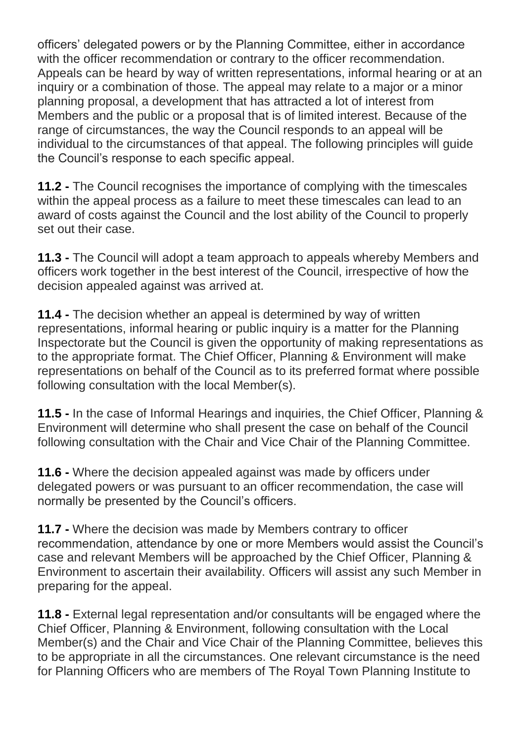officers' delegated powers or by the Planning Committee, either in accordance with the officer recommendation or contrary to the officer recommendation. Appeals can be heard by way of written representations, informal hearing or at an inquiry or a combination of those. The appeal may relate to a major or a minor planning proposal, a development that has attracted a lot of interest from Members and the public or a proposal that is of limited interest. Because of the range of circumstances, the way the Council responds to an appeal will be individual to the circumstances of that appeal. The following principles will guide the Council's response to each specific appeal.

**11.2 -** The Council recognises the importance of complying with the timescales within the appeal process as a failure to meet these timescales can lead to an award of costs against the Council and the lost ability of the Council to properly set out their case.

**11.3 -** The Council will adopt a team approach to appeals whereby Members and officers work together in the best interest of the Council, irrespective of how the decision appealed against was arrived at.

**11.4 -** The decision whether an appeal is determined by way of written representations, informal hearing or public inquiry is a matter for the Planning Inspectorate but the Council is given the opportunity of making representations as to the appropriate format. The Chief Officer, Planning & Environment will make representations on behalf of the Council as to its preferred format where possible following consultation with the local Member(s).

**11.5 -** In the case of Informal Hearings and inquiries, the Chief Officer, Planning & Environment will determine who shall present the case on behalf of the Council following consultation with the Chair and Vice Chair of the Planning Committee.

**11.6 -** Where the decision appealed against was made by officers under delegated powers or was pursuant to an officer recommendation, the case will normally be presented by the Council's officers.

**11.7 -** Where the decision was made by Members contrary to officer recommendation, attendance by one or more Members would assist the Council's case and relevant Members will be approached by the Chief Officer, Planning & Environment to ascertain their availability. Officers will assist any such Member in preparing for the appeal.

**11.8 -** External legal representation and/or consultants will be engaged where the Chief Officer, Planning & Environment, following consultation with the Local Member(s) and the Chair and Vice Chair of the Planning Committee, believes this to be appropriate in all the circumstances. One relevant circumstance is the need for Planning Officers who are members of The Royal Town Planning Institute to